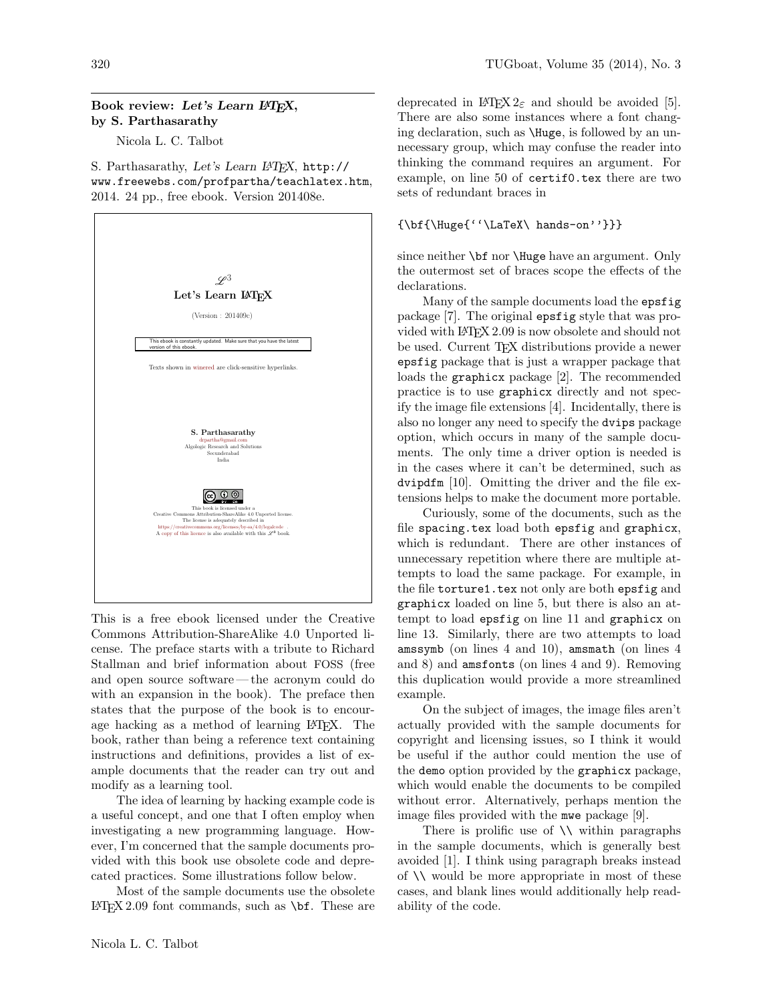## Book review: Let's Learn L<sup>AT</sup>FX, by S. Parthasarathy

Nicola L. C. Talbot

S. Parthasarathy, Let's Learn LATEX, http:// www.freewebs.com/profpartha/teachlatex.htm, 2014. 24 pp., free ebook. Version 201408e.



This is a free ebook licensed under the Creative Commons Attribution-ShareAlike 4.0 Unported license. The preface starts with a tribute to Richard Stallman and brief information about FOSS (free and open source software— the acronym could do with an expansion in the book). The preface then states that the purpose of the book is to encourage hacking as a method of learning L<sup>A</sup>TEX. The book, rather than being a reference text containing instructions and definitions, provides a list of example documents that the reader can try out and modify as a learning tool.

The idea of learning by hacking example code is a useful concept, and one that I often employ when investigating a new programming language. However, I'm concerned that the sample documents provided with this book use obsolete code and deprecated practices. Some illustrations follow below.

Most of the sample documents use the obsolete  $\text{LATEX } 2.09$  font commands, such as \bf. These are

deprecated in LAT<sub>E</sub>X  $2_{\epsilon}$  and should be avoided [\[5\]](#page-1-0). There are also some instances where a font changing declaration, such as \Huge, is followed by an unnecessary group, which may confuse the reader into thinking the command requires an argument. For example, on line 50 of certif0.tex there are two sets of redundant braces in

## {\bf{\Huge{''\LaTeX\ hands-on''}}}

since neither **\bf** nor **\Huge** have an argument. Only the outermost set of braces scope the effects of the declarations.

Many of the sample documents load the epsfig package [\[7\]](#page-1-1). The original epsfig style that was provided with L<sup>A</sup>TEX 2.09 is now obsolete and should not be used. Current T<sub>EX</sub> distributions provide a newer epsfig package that is just a wrapper package that loads the graphicx package [\[2\]](#page-1-2). The recommended practice is to use graphicx directly and not specify the image file extensions [\[4\]](#page-1-3). Incidentally, there is also no longer any need to specify the dvips package option, which occurs in many of the sample documents. The only time a driver option is needed is in the cases where it can't be determined, such as dvipdfm [\[10\]](#page-1-4). Omitting the driver and the file extensions helps to make the document more portable.

Curiously, some of the documents, such as the file spacing.tex load both epsfig and graphicx, which is redundant. There are other instances of unnecessary repetition where there are multiple attempts to load the same package. For example, in the file torture1.tex not only are both epsfig and graphicx loaded on line 5, but there is also an attempt to load epsfig on line 11 and graphicx on line 13. Similarly, there are two attempts to load amssymb (on lines 4 and 10), amsmath (on lines 4 and 8) and amsfonts (on lines 4 and 9). Removing this duplication would provide a more streamlined example.

On the subject of images, the image files aren't actually provided with the sample documents for copyright and licensing issues, so I think it would be useful if the author could mention the use of the demo option provided by the graphicx package, which would enable the documents to be compiled without error. Alternatively, perhaps mention the image files provided with the mwe package [\[9\]](#page-1-5).

There is prolific use of  $\setminus \setminus$  within paragraphs in the sample documents, which is generally best avoided [\[1\]](#page-1-6). I think using paragraph breaks instead of \\ would be more appropriate in most of these cases, and blank lines would additionally help readability of the code.